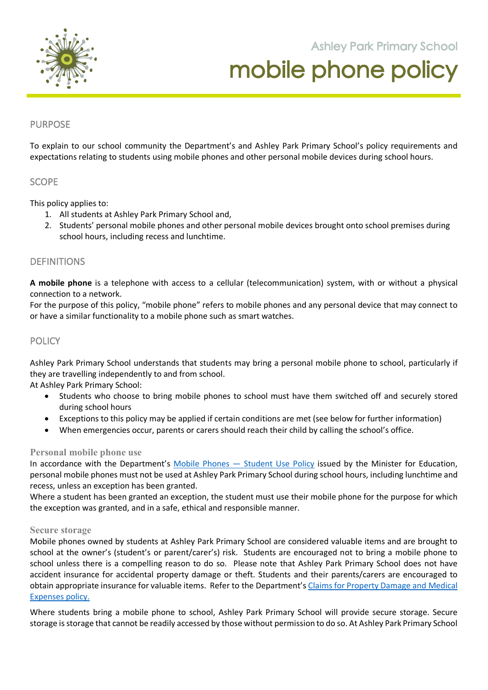

**Ashley Park Primary School** 

# mobile phone policy

**105 Orchard Road Doreen 3754**

## PURPOSE

To explain to our school community the Department's and Ashley Park Primary School's policy requirements and expectations relating to students using mobile phones and other personal mobile devices during school hours.

## **SCOPE**

This policy applies to:

- 1. All students at Ashley Park Primary School and,
- 2. Students' personal mobile phones and other personal mobile devices brought onto school premises during school hours, including recess and lunchtime.

## DEFINITIONS

**A mobile phone** is a telephone with access to a cellular (telecommunication) system, with or without a physical connection to a network.

For the purpose of this policy, "mobile phone" refers to mobile phones and any personal device that may connect to or have a similar functionality to a mobile phone such as smart watches.

## **POLICY**

Ashley Park Primary School understands that students may bring a personal mobile phone to school, particularly if they are travelling independently to and from school.

At Ashley Park Primary School:

- Students who choose to bring mobile phones to school must have them switched off and securely stored during school hours
- Exceptions to this policy may be applied if certain conditions are met (see below for further information)
- When emergencies occur, parents or carers should reach their child by calling the school's office.

#### **Personal mobile phone use**

In accordance with the Department's Mobile Phones – Student Use Policy issued by the Minister for Education, personal mobile phones must not be used at Ashley Park Primary School during school hours, including lunchtime and recess, unless an exception has been granted.

Where a student has been granted an exception, the student must use their mobile phone for the purpose for which the exception was granted, and in a safe, ethical and responsible manner.

#### **Secure storage**

Mobile phones owned by students at Ashley Park Primary School are considered valuable items and are brought to school at the owner's (student's or parent/carer's) risk. Students are encouraged not to bring a mobile phone to school unless there is a compelling reason to do so. Please note that Ashley Park Primary School does not have accident insurance for accidental property damage or theft. Students and their parents/carers are encouraged to obtain appropriate insurance for valuable items. Refer to the Department's Claims for Property Damage and Medical Expenses policy.

Where students bring a mobile phone to school, Ashley Park Primary School will provide secure storage. Secure storage is storage that cannot be readily accessed by those without permission to do so. At Ashley Park Primary School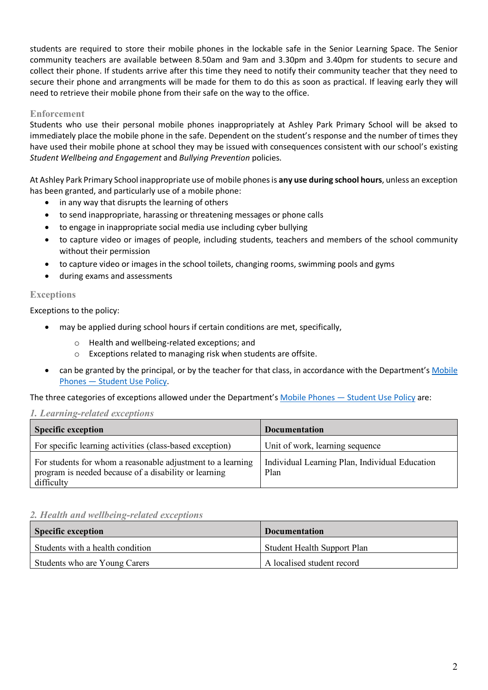students are required to store their mobile phones in the lockable safe in the Senior Learning Space. The Senior community teachers are available between 8.50am and 9am and 3.30pm and 3.40pm for students to secure and collect their phone. If students arrive after this time they need to notify their community teacher that they need to secure their phone and arrangments will be made for them to do this as soon as practical. If leaving early they will need to retrieve their mobile phone from their safe on the way to the office.

## **Enforcement**

Students who use their personal mobile phones inappropriately at Ashley Park Primary School will be aksed to immediately place the mobile phone in the safe. Dependent on the student's response and the number of times they have used their mobile phone at school they may be issued with consequences consistent with our school's existing *Student Wellbeing and Engagement* and *Bullying Prevention* policies.

At Ashley Park Primary School inappropriate use of mobile phones is **any use during school hours**, unless an exception has been granted, and particularly use of a mobile phone:

- in any way that disrupts the learning of others
- to send inappropriate, harassing or threatening messages or phone calls
- to engage in inappropriate social media use including cyber bullying
- to capture video or images of people, including students, teachers and members of the school community without their permission
- to capture video or images in the school toilets, changing rooms, swimming pools and gyms
- during exams and assessments

## **Exceptions**

Exceptions to the policy:

- may be applied during school hours if certain conditions are met, specifically,
	- o Health and wellbeing-related exceptions; and
	- o Exceptions related to managing risk when students are offsite.
- can be granted by the principal, or by the teacher for that class, in accordance with the Department's Mobile Phones — Student Use Policy.

The three categories of exceptions allowed under the Department's Mobile Phones - Student Use Policy are:

## *1. Learning-related exceptions*

| <b>Specific exception</b>                                                                                                          | <b>Documentation</b>                                   |
|------------------------------------------------------------------------------------------------------------------------------------|--------------------------------------------------------|
| For specific learning activities (class-based exception)                                                                           | Unit of work, learning sequence                        |
| For students for whom a reasonable adjustment to a learning<br>program is needed because of a disability or learning<br>difficulty | Individual Learning Plan, Individual Education<br>Plan |

## *2. Health and wellbeing-related exceptions*

| <b>Specific exception</b>        | <b>Documentation</b>        |
|----------------------------------|-----------------------------|
| Students with a health condition | Student Health Support Plan |
| Students who are Young Carers    | A localised student record  |